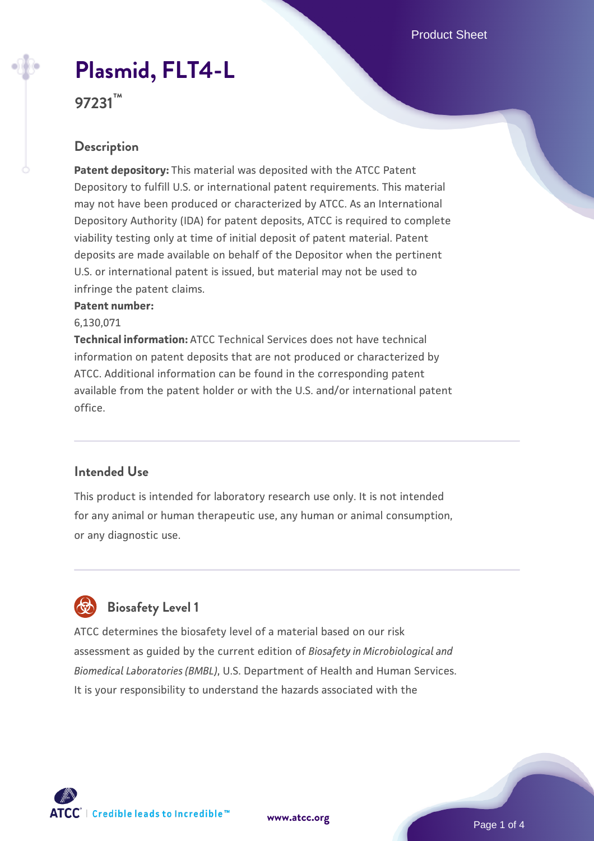# **[Plasmid, FLT4-L](https://www.atcc.org/products/97231)**

**97231™**

### **Description**

**Patent depository:** This material was deposited with the ATCC Patent Depository to fulfill U.S. or international patent requirements. This material may not have been produced or characterized by ATCC. As an International Depository Authority (IDA) for patent deposits, ATCC is required to complete viability testing only at time of initial deposit of patent material. Patent deposits are made available on behalf of the Depositor when the pertinent U.S. or international patent is issued, but material may not be used to infringe the patent claims.

#### **Patent number:**

6,130,071

**Technical information:** ATCC Technical Services does not have technical information on patent deposits that are not produced or characterized by ATCC. Additional information can be found in the corresponding patent available from the patent holder or with the U.S. and/or international patent office.

#### **Intended Use**

This product is intended for laboratory research use only. It is not intended for any animal or human therapeutic use, any human or animal consumption, or any diagnostic use.

## **Biosafety Level 1**

ATCC determines the biosafety level of a material based on our risk assessment as guided by the current edition of *Biosafety in Microbiological and Biomedical Laboratories (BMBL)*, U.S. Department of Health and Human Services. It is your responsibility to understand the hazards associated with the

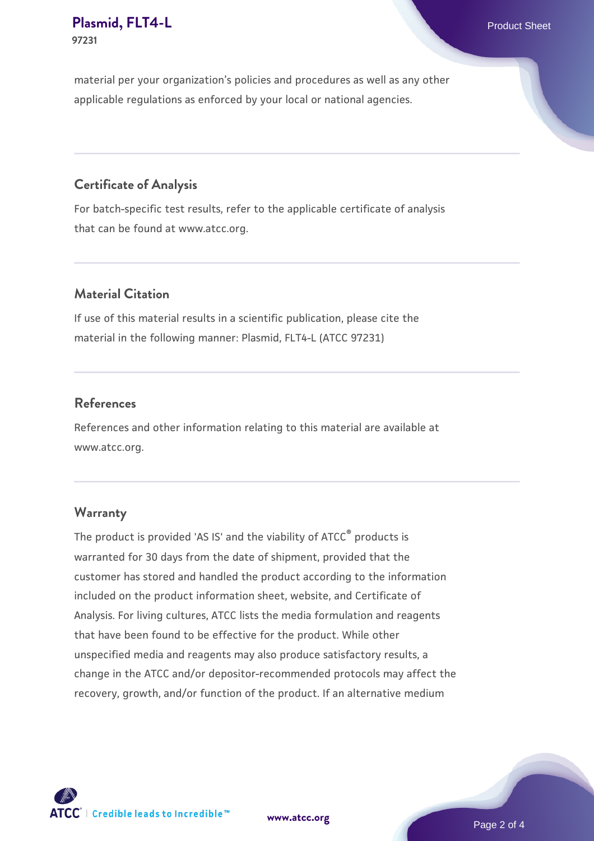#### **[Plasmid, FLT4-L](https://www.atcc.org/products/97231)** Product Sheet **97231**

material per your organization's policies and procedures as well as any other applicable regulations as enforced by your local or national agencies.

#### **Certificate of Analysis**

For batch-specific test results, refer to the applicable certificate of analysis that can be found at www.atcc.org.

#### **Material Citation**

If use of this material results in a scientific publication, please cite the material in the following manner: Plasmid, FLT4-L (ATCC 97231)

#### **References**

References and other information relating to this material are available at www.atcc.org.

#### **Warranty**

The product is provided 'AS IS' and the viability of ATCC® products is warranted for 30 days from the date of shipment, provided that the customer has stored and handled the product according to the information included on the product information sheet, website, and Certificate of Analysis. For living cultures, ATCC lists the media formulation and reagents that have been found to be effective for the product. While other unspecified media and reagents may also produce satisfactory results, a change in the ATCC and/or depositor-recommended protocols may affect the recovery, growth, and/or function of the product. If an alternative medium



**[www.atcc.org](http://www.atcc.org)**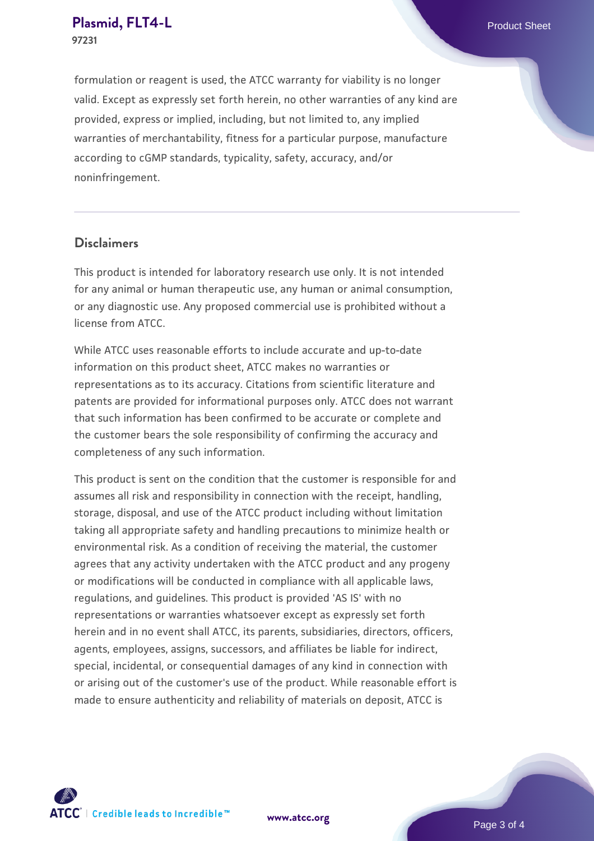#### **[Plasmid, FLT4-L](https://www.atcc.org/products/97231)** Product Sheet **97231**

formulation or reagent is used, the ATCC warranty for viability is no longer valid. Except as expressly set forth herein, no other warranties of any kind are provided, express or implied, including, but not limited to, any implied warranties of merchantability, fitness for a particular purpose, manufacture according to cGMP standards, typicality, safety, accuracy, and/or noninfringement.

#### **Disclaimers**

This product is intended for laboratory research use only. It is not intended for any animal or human therapeutic use, any human or animal consumption, or any diagnostic use. Any proposed commercial use is prohibited without a license from ATCC.

While ATCC uses reasonable efforts to include accurate and up-to-date information on this product sheet, ATCC makes no warranties or representations as to its accuracy. Citations from scientific literature and patents are provided for informational purposes only. ATCC does not warrant that such information has been confirmed to be accurate or complete and the customer bears the sole responsibility of confirming the accuracy and completeness of any such information.

This product is sent on the condition that the customer is responsible for and assumes all risk and responsibility in connection with the receipt, handling, storage, disposal, and use of the ATCC product including without limitation taking all appropriate safety and handling precautions to minimize health or environmental risk. As a condition of receiving the material, the customer agrees that any activity undertaken with the ATCC product and any progeny or modifications will be conducted in compliance with all applicable laws, regulations, and guidelines. This product is provided 'AS IS' with no representations or warranties whatsoever except as expressly set forth herein and in no event shall ATCC, its parents, subsidiaries, directors, officers, agents, employees, assigns, successors, and affiliates be liable for indirect, special, incidental, or consequential damages of any kind in connection with or arising out of the customer's use of the product. While reasonable effort is made to ensure authenticity and reliability of materials on deposit, ATCC is



**[www.atcc.org](http://www.atcc.org)**